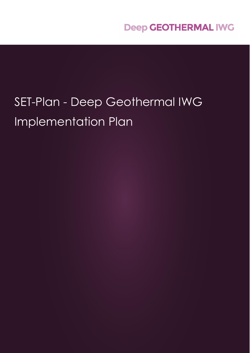# SET-Plan - Deep Geothermal IWG Implementation Plan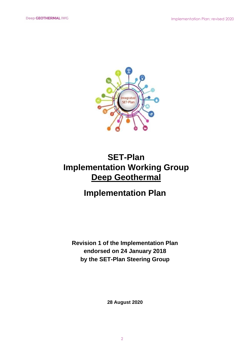

# **SET-Plan Implementation Working Group Deep Geothermal**

# **Implementation Plan**

**Revision 1 of the Implementation Plan endorsed on 24 January 2018 by the SET-Plan Steering Group**

**28 August 2020**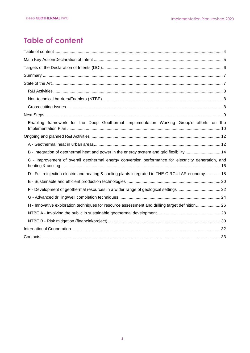# <span id="page-3-0"></span>**Table of content**

| Enabling framework for the Deep Geothermal Implementation Working Group's efforts on the            |
|-----------------------------------------------------------------------------------------------------|
|                                                                                                     |
|                                                                                                     |
| B - Integration of geothermal heat and power in the energy system and grid flexibility  14          |
| C - Improvement of overall geothermal energy conversion performance for electricity generation, and |
| D - Full reinjection electric and heating & cooling plants integrated in THE CIRCULAR economy 18    |
|                                                                                                     |
|                                                                                                     |
|                                                                                                     |
| H - Innovative exploration techniques for resource assessment and drilling target definition 26     |
|                                                                                                     |
|                                                                                                     |
|                                                                                                     |
|                                                                                                     |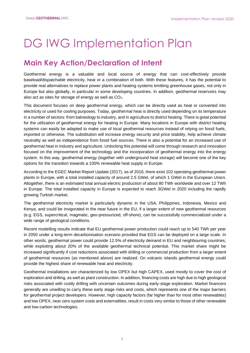# DG IWG Implementation Plan

# <span id="page-4-0"></span>**Main Key Action/Declaration of Intent**

Geothermal energy is a valuable and local source of energy that can cost-effectively provide baseload/dispatchable electricity, heat or a combination of both. With these features, it has the potential to provide real alternatives to replace power plants and heating systems emitting greenhouse gases, not only in Europe but also globally, in particular in some developing countries. In addition, geothermal reservoirs may also act as sites for storage of energy as well as  $CO<sub>2</sub>$ .

This document focuses on deep geothermal energy, which can be directly used as heat or converted into electricity or used for cooling purposes. Today, geothermal heat is directly used depending on its temperature in a number of sectors: from balneology to industry, and in agriculture to district heating. There is great potential for the utilization of geothermal energy for heating in Europe. Many locations in Europe with district heating systems can easily be adapted to make use of local geothermal resources instead of relying on fossil fuels, imported or otherwise. The substitution will increase energy security and price stability, help achieve climate neutrality as well as independence from fossil fuel sources. There is also a potential for an increased use of geothermal heat in industry and agriculture. Unlocking this potential will come through research and innovation focused on the improvement of the technology and the incorporation of geothermal energy into the energy system. In this way, geothermal energy (together with underground heat storage) will become one of the key options for the transition towards a 100% renewable heat supply in Europe.

According to the EGEC Market Report Update (2017), as of 2016, there exist 102 operating geothermal power plants in Europe, with a total installed capacity of around 2.5 GWel, of which 1 GWel in the European Union. Altogether, there is an estimated total annual electric production of about 80 TWh worldwide and over 12 TWh in Europe. The total installed capacity in Europe is expected to reach 3GWel in 2020 including the rapidly growing Turkish market.

The geothermal electricity market is particularly dynamic in the USA, Philippines, Indonesia, Mexico and Kenya, and could be invigorated in the near future in the EU, if a larger extent of new geothermal resources (e.g. EGS, supercritical, magmatic, geo-pressurized, off‐shore), can be successfully commercialized under a wide range of geological conditions.

Recent modelling results indicate that EU geothermal power production could reach up to 540 TWh per year in 2050 under a long-term decarbonisation scenario provided that EGS can be deployed on a large scale. In other words, geothermal power could provide 12.5% of electricity demand in EU and neighbouring countries, while exploiting about 20% of the available geothermal technical potential. This market share might be increased significantly if cost reductions associated with drilling or commercial production from a larger extent of geothermal resources (as mentioned above) are realized. On volcanic islands geothermal energy could provide the highest share of renewable heat and electricity.

Geothermal installations are characterized by low OPEX but high CAPEX, used mostly to cover the cost of exploration and drilling, as well as plant construction. In addition, financing costs are high due to high geological risks associated with costly drilling with uncertain outcomes during early‐stage exploration. Market financers generally are unwilling to carry these early stage risks and costs, which represents one of the major barriers for geothermal project developers. However, high capacity factors (far higher than for most other renewables) and low OPEX, near zero system costs and externalities, result in costs very similar to those of other renewable and low‐carbon technologies.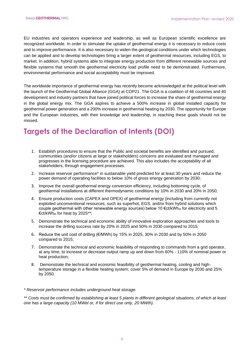EU industries and operators experience and leadership, as well as European scientific excellence are recognized worldwide. In order to stimulate the uptake of geothermal energy it is necessary to reduce costs and to improve performance. It is also necessary to widen the geological conditions under which technologies can be applied and to develop technologies bring a larger extent of geothermal resources, including EGS, to market. In addition, hybrid systems able to integrate energy production from different renewable sources and flexible systems that smooth the geothermal electricity load profile need to be demonstrated. Furthermore, environmental performance and social acceptability must be improved.

The worldwide importance of geothermal energy has recently become acknowledged at the political level with the launch of the Geothermal Global Alliance (GGA) at COP21. The GGA is a coalition of 46 countries and 40 development and industry partners that have joined political forces to increase the share of geothermal energy in the global energy mix. The GGA aspires to achieve a 500% increase in global installed capacity for geothermal power generation and a 200% increase in geothermal heating by 2030. The opportunity for Europe and the European industries, with their knowledge and leadership, in reaching these goals should not be missed.

# <span id="page-5-0"></span>**Targets of the Declaration of Intents (DOI)**

- 1. Establish procedures to ensure that the Public and societal benefits are identified and pursued, communities (and/or citizens at large or stakeholders) concerns are evaluated and managed and progresses in the licensing procedure are achieved. This also includes the acceptability of all stakeholders, through engagement processes.
- 2. Increase reservoir performance\* in sustainable yield predicted for at least 30 years and reduce the power demand of operating facilities to below 10% of gross energy generation by 2030;
- 3. Improve the overall geothermal energy conversion efficiency, including bottoming cycle, of geothermal installations at different thermodynamic conditions by 10% in 2030 and 20% in 2050;
- 4. Ensure production costs (CAPEX and OPEX) of geothermal energy (including from currently not exploited unconventional resources, such as superhot, EGS, and/or from hybrid solutions which couple geothermal with other renewable energy sources) below 10 €ct/kWh<sub>el</sub> for electricity and 5 €ct/kWhth for heat by 2025\*\*;
- 5. Demonstrate the technical and economic ability of innovative exploration approaches and tools to increase the drilling success rate by 20% in 2025 and 50% in 2030 compared to 2015*;*
- 6. Reduce the unit cost of drilling  $(E/MWh)$  by 15% in 2025, 30% in 2030 and by 50% in 2050 compared to 2015;
- 7. Demonstrate the technical and economic feasibility of responding to commands from a grid operator, at any time, to increase or decrease output ramp up and down from 60% - 110% of nominal power or heat production;
- 8. Demonstrate the technical and economic feasibility of geothermal heating, cooling and hightemperature storage in a flexible heating system; cover 5% of demand in Europe by 2030 and 25% by 2050.

*\* Reservoir performance includes underground heat storage.*

*\*\* Costs must be confirmed by establishing at least 5 plants in different geological situations, of which at least one has a large capacity (10 MWel or, if for direct use only, 20 MWth).*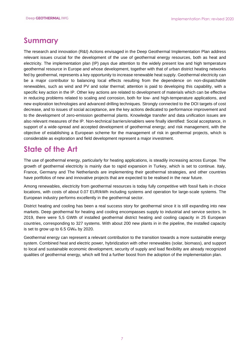## <span id="page-6-0"></span>**Summary**

The research and innovation (R&I) Actions envisaged in the Deep Geothermal Implementation Plan address relevant issues crucial for the development of the use of geothermal energy resources, both as heat and electricity. The implementation plan (IP) pays due attention to the widely present low and high temperature geothermal resource in Europe and whose development, together with that of urban district heating networks fed by geothermal, represents a key opportunity to increase renewable heat supply. Geothermal electricity can be a major contributor to balancing local effects resulting from the dependence on non-dispatchable renewables, such as wind and PV and solar thermal; attention is paid to developing this capability, with a specific key action in the IP. Other key actions are related to development of materials which can be effective in reducing problems related to scaling and corrosion, both for low- and high-temperature applications, and new exploration technologies and advanced drilling techniques. Strongly connected to the DOI targets of cost decrease, and to issues of social acceptance, are the key actions dedicated to performance improvement and to the development of zero-emission geothermal plants. Knowledge transfer and data unification issues are also relevant measures of the IP. Non-technical barriers/enablers were finally identified: Social acceptance, in support of a wide-spread and accepted development of geothermal energy; and risk management, with the objective of establishing a European scheme for the management of risk in geothermal projects, which is considerable as exploration and field development represent a major investment.

# <span id="page-6-1"></span>**State of the Art**

The use of geothermal energy, particularly for heating applications, is steadily increasing across Europe. The growth of geothermal electricity is mainly due to rapid expansion in Turkey, which is set to continue. Italy, France, Germany and The Netherlands are implementing their geothermal strategies, and other countries have portfolios of new and innovative projects that are expected to be realised in the near future.

Among renewables, electricity from geothermal resources is today fully competitive with fossil fuels in choice locations, with costs of about 0.07 EUR/kWh including systems and operation for large-scale systems. The European industry performs excellently in the geothermal sector.

District heating and cooling has been a real success story for geothermal since it is still expanding into new markets. Deep geothermal for heating and cooling encompasses supply to industrial and service sectors. In 2019, there were 5,5 GWth of installed geothermal district heating and cooling capacity in 25 European countries, corresponding to 327 systems. With about 200 new plants in in the pipeline, the installed capacity is set to grow up to  $6.5$  GWth by 2020.

Geothermal energy can represent a relevant contribution to the transition towards a more sustainable energy system. Combined heat and electric power, hybridization with other renewables (solar, biomass), and support to local and sustainable economic development, security of supply and load flexibility are already recognized qualities of geothermal energy, which will find a further boost from the adoption of the implementation plan.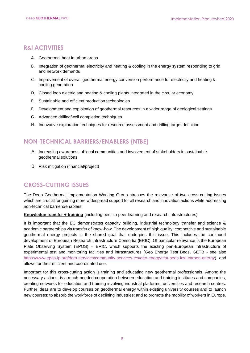## <span id="page-7-0"></span>**R&I ACTIVITIES**

- A. Geothermal heat in urban areas
- B. Integration of geothermal electricity and heating & cooling in the energy system responding to grid and network demands
- C. Improvement of overall geothermal energy conversion performance for electricity and heating & cooling generation
- D. Closed loop electric and heating & cooling plants integrated in the circular economy
- E. Sustainable and efficient production technologies
- F. Development and exploitation of geothermal resources in a wider range of geological settings
- G. Advanced drilling/well completion techniques
- H. Innovative exploration techniques for resource assessment and drilling target definition

## <span id="page-7-1"></span>**NON-TECHNICAL BARRIERS/ENABLERS (NTBE)**

- A. Increasing awareness of local communities and involvement of stakeholders in sustainable geothermal solutions
- B. Risk mitigation (financial/project)

## <span id="page-7-2"></span>**CROSS-CUTTING ISSUES**

The Deep Geothermal Implementation Working Group stresses the relevance of two cross-cutting issues which are crucial for gaining more widespread support for all research and innovation actions while addressing non-technical barriers/enablers:

**Knowledge transfer + training** (including peer-to-peer learning and research infrastructures)

It is important that the EC demonstrates capacity building, industrial technology transfer and science & academic partnerships via transfer of know-how. The development of high quality, competitive and sustainable geothermal energy projects is the shared goal that underpins this issue. This includes the continued development of European Research Infrastructure Consortia (ERIC). Of particular relevance is the European Plate Observing System (EPOS) – ERIC, which supports the existing pan-European infrastructure of experimental test and monitoring facilities and infrastructures (Geo Energy Test Beds, GETB - see also [https://www.epos-ip.org/data-services/community-services-tcs/geo-energytest-beds-low-carbon-energy\)](https://www.epos-ip.org/data-services/community-services-tcs/geo-energytest-beds-low-carbon-energy) and allows for their efficient and coordinated use.

Important for this cross-cutting action is training and educating new geothermal professionals. Among the necessary actions, is a much-needed cooperation between education and training institutes and companies, creating networks for education and training involving industrial platforms, universities and research centres. Further ideas are to develop courses on geothermal energy within existing university courses and to launch new courses; to absorb the workforce of declining industries; and to promote the mobility of workers in Europe.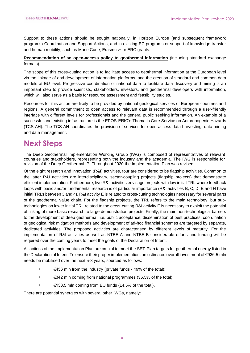Support to these actions should be sought nationally, in Horizon Europe (and subsequent framework programs) Coordination and Support Actions, and in existing EC programs or support of knowledge transfer and human mobility, such as Marie Curie, Erasmus+ or ERC grants.

## **Recommendation of an open-access policy to geothermal information** (including standard exchange formats)

The scope of this cross-cutting action is to facilitate access to geothermal information at the European level via the linkage of and development of information platforms, and the creation of standard and common data models at EU level. Progressive coordination of national data to facilitate data discovery and mining is an important step to provide scientists, stakeholders, investors, and geothermal developers with information, which will also serve as a basis for resource assessment and feasibility studies.

Resources for this action are likely to be provided by national geological services of European countries and regions. A general commitment to open access to relevant data is recommended through a user-friendly interface with different levels for professionals and the general public seeking information. An example of a successful and existing infrastructure is the EPOS-ERIC's Thematic Core Service on Anthropogenic Hazards (TCS-AH). The TCS-AH coordinates the provision of services for open-access data harvesting, data mining and data management.

## <span id="page-8-0"></span>**Next Steps**

The Deep Geothermal Implementation Working Group (IWG) is composed of representatives of relevant countries and stakeholders, representing both the industry and the academia. The IWG is responsible for revision of the Deep Geothermal IP. Throughout 2020 the Implementation Plan was revised.

Of the eight research and innovation (R&I) activities, four are considered to be flagship activities. Common to the latter R&I activities are interdisciplinary, sector-coupling projects (flagship projects) that demonstrate efficient implementation. Furthermore, five R&I activities envisage projects with low initial TRL where feedback loops with basic and/or fundamental research is of particular importance (R&I activities B, C, D, E and H have initial TRLs between 3 and 4). R&I activity E is related to cross-cutting technologies necessary for several parts of the geothermal value chain. For the flagship projects, the TRL refers to the main technology, but subtechnologies on lower initial TRL related to the cross-cutting R&I activity E is necessary to exploit the potential of linking of more basic research to large demonstration projects. Finally, the main non-technological barriers to the development of deep geothermal, i.e. public acceptance, dissemination of best practices, coordination of geological risk mitigation methods and development of ad-hoc financial schemes are targeted by separate, dedicated activities. The proposed activities are characterised by different levels of maturity. For the implementation of R&I activities as well as NTBE-A and NTBE-B considerable efforts and funding will be required over the coming years to meet the goals of the Declaration of Intent.

All actions of the Implementation Plan are crucial to meet the SET-Plan targets for geothermal energy listed in the Declaration of Intent. To ensure their proper implementation, an estimated overall investment of €936,5 mln needs be mobilised over the next 5-8 years, sourced as follows:

- $€456$  mln from the industry (private funds 49% of the total);
- €342 mln coming from national programmes (36,5% of the total);
- €138,5 mln coming from EU funds (14,5% of the total).

There are potential synergies with several other IWGs, namely: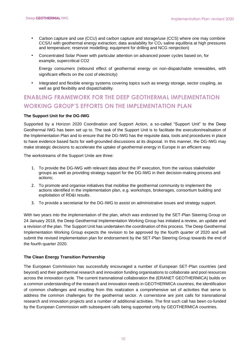- Carbon capture and use (CCU) and carbon capture and storage/use (CCS) where one may combine CCS/U with geothermal energy extraction; data availability for  $CO<sub>2</sub>$  saline equilibria at high pressures and temperature; reservoir modelling; equipment for drilling and NCG reinjection)
- Concentrated Solar Power with particular attention on advanced power cycles based on, for example, supercritical CO2

Energy consumers (rebound effect of geothermal energy on non-dispatchable renewables, with significant effects on the cost of electricity)

• Integrated and flexible energy systems covering topics such as energy storage, sector coupling, as well as grid flexibility and dispatchability.

## <span id="page-9-0"></span>**ENABLING FRAMEWORK FOR THE DEEP GEOTHERMAL IMPLEMENTATION WORKING GROUP'S EFFORTS ON THE IMPLEMENTATION PLAN**

## **The Support Unit for the DG-IWG**

Supported by a Horizon 2020 Coordination and Support Action, a so-called "Support Unit" to the Deep Geothermal IWG has been set up to. The task of the Support Unit is to facilitate the execution/realisation of the Implementation Plan and to ensure that the DG-IWG has the requisite data, tools and procedures in place to have evidence based facts for well-grounded discussions at its disposal. In this manner, the DG-IWG may make strategic decisions to accelerate the uptake of geothermal energy in Europe in an efficient way.

The workstreams of the Support Unite are three:

- 1. To provide the DG-IWG with relevant data about the IP execution, from the various stakeholder groups as well as providing strategy support for the DG-IWG in their decision-making process and actions;
- 2. To promote and organise initiatives that mobilise the geothermal community to implement the actions identified in the implementation plan, e.g. workshops, brokerages, consortium building and exploitation of RD&I results.
- 3. To provide a secretariat for the DG-IWG to assist on administrative issues and strategy support.

With two years into the implementation of the plan, which was endorsed by the SET-Plan Steering Group on 24 January 2018, the Deep Geothermal Implementation Working Group has initiated a review, an update and a revision of the plan. The Support Unit has undertaken the coordination of this process. The Deep Geothermal Implementation Working Group expects the revision to be approved by the fourth quarter of 2020 and will submit the revised implementation plan for endorsement by the SET-Plan Steering Group towards the end of the fourth quarter 2020.

#### **The Clean Energy Transition Partnership**

The European Commission has successfully encouraged a number of European SET-Plan countries (and beyond) and their geothermal research and innovation funding organisations to collaborate and pool resources across the innovation cycle. The current transnational collaboration the (ERANET GEOTHERMICA) builds on a common understanding of the research and innovation needs in GEOTHERMICA countries, the identification of common challenges and resulting from this realization a comprehensive set of activities that serve to address the common challenges for the geothermal sector. A cornerstone are joint calls for transnational research and innovation projects and a number of additional activities. The first such call has been co-funded by the European Commission with subsequent calls being supported only by GEOTHERMICA countries.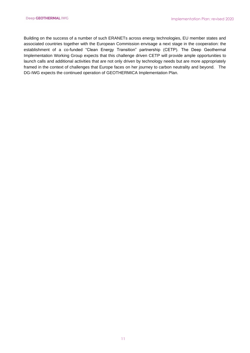Building on the success of a number of such ERANETs across energy technologies, EU member states and associated countries together with the European Commission envisage a next stage in the cooperation: the establishment of a co-funded "Clean Energy Transition" partnership (CETP). The Deep Geothermal Implementation Working Group expects that this challenge driven CETP will provide ample opportunities to launch calls and additional activities that are not only driven by technology needs but are more appropriately framed in the context of challenges that Europe faces on her journey to carbon neutrality and beyond. The DG-IWG expects the continued operation of GEOTHERMICA Implementation Plan.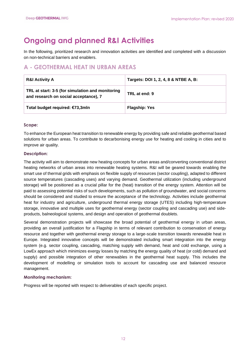# <span id="page-11-0"></span>**Ongoing and planned R&I Activities**

In the following, prioritized research and innovation activities are identified and completed with a discussion on non-technical barriers and enablers.

## <span id="page-11-1"></span>**A - GEOTHERMAL HEAT IN URBAN AREAS**

| <b>R&amp;I Activity A</b>                                                                 | Targets: DOI 1, 2, 4, 8 & NTBE A, B: |
|-------------------------------------------------------------------------------------------|--------------------------------------|
| TRL at start: 3-5 (for simulation and monitoring<br>and research on social acceptance), 7 | TRL at end: 9                        |
| Total budget required: €73,3mln                                                           | <b>Flagship: Yes</b>                 |

## **Scope:**

To enhance the European heat transition to renewable energy by providing safe and reliable geothermal based solutions for urban areas. To contribute to decarbonising energy use for heating and cooling in cities and to improve air quality.

## **Description:**

The activity will aim to demonstrate new heating concepts for urban areas and/converting conventional district heating networks of urban areas into renewable heating systems. R&I will be geared towards enabling the smart use of thermal grids with emphasis on flexible supply of resources (sector coupling), adapted to different source temperatures (cascading uses) and varying demand. Geothermal utilization (including underground storage) will be positioned as a crucial pillar for the (heat) transition of the energy system. Attention will be paid to assessing potential risks of such developments, such as pollution of groundwater, and social concerns should be considered and studied to ensure the acceptance of the technology. Activities include geothermal heat for industry and agriculture, underground thermal energy storage (UTES) including high-temperature storage, innovative and multiple uses for geothermal energy (sector coupling and cascading use) and sideproducts, balneological systems, and design and operation of geothermal doublets.

Several demonstration projects will showcase the broad potential of geothermal energy in urban areas, providing an overall justification for a Flagship in terms of relevant contribution to conservation of energy resource and together with geothermal energy storage to a large-scale transition towards renewable heat in Europe. Integrated innovative concepts will be demonstrated including smart integration into the energy system (e.g. sector coupling, cascading, matching supply with demand, heat and cold exchange, using a LowEx approach which minimizes exergy losses by matching the energy quality of heat (or cold) demand and supply) and possible integration of other renewables in the geothermal heat supply. This includes the development of modelling or simulation tools to account for cascading use and balanced resource management.

## **Monitoring mechanism:**

Progress will be reported with respect to deliverables of each specific project.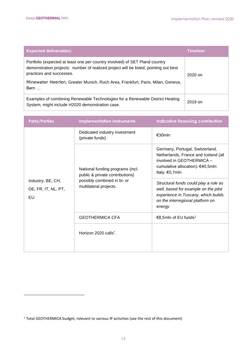| <b>Expected deliverables:</b>                                                                                                                                                                                                                                                               | <b>Timeline:</b> |
|---------------------------------------------------------------------------------------------------------------------------------------------------------------------------------------------------------------------------------------------------------------------------------------------|------------------|
| Portfolio (expected at least one per country involved) of SET Pland country<br>demonstration projects: number of realized project will be listed, pointing out best<br>practices and successes.<br>Minewater Heerlen, Greater Munich, Ruch Area, Frankfurt, Paris, Milan, Geneva,<br>$Bern$ | $2020$ on        |
| Examples of combining Renewable Technologies for a Renewable District Heating<br>System, might include H2020 demonstration case.                                                                                                                                                            | 2019 on          |

| <b>Party/Parties</b>                           | <b>Implementation Instruments</b>                                                                                            | <b>Indicative financing contribution</b>                                                                                                                           |
|------------------------------------------------|------------------------------------------------------------------------------------------------------------------------------|--------------------------------------------------------------------------------------------------------------------------------------------------------------------|
| Industry, BE, CH,<br>DE, FR, IT, NL, PT,<br>EU | Dedicated industry investment<br>(private funds)                                                                             | €30mln                                                                                                                                                             |
|                                                | National funding programs (incl.<br>public & private contributions)<br>possibly combined in bi- or<br>multilateral projects. | Germany, Portugal, Switzerland,<br>Netherlands, France and Iceland (all<br>involved in GEOTHERMICA -<br>cumulative allocation): €40,5mln<br>Italy: €0,7mln         |
|                                                |                                                                                                                              | Structural funds could play a role as<br>well, based for example on the pilot<br>experience in Tuscany, which builds<br>on the interregional platform on<br>energy |
|                                                | <b>GEOTHERMICA CFA</b>                                                                                                       | €8,5mln of EU funds <sup>1</sup>                                                                                                                                   |
|                                                | Horizon 2020 calls".                                                                                                         |                                                                                                                                                                    |

<sup>1</sup> Total GEOTHERMICA budget, relevant to various IP activities (see the rest of this document)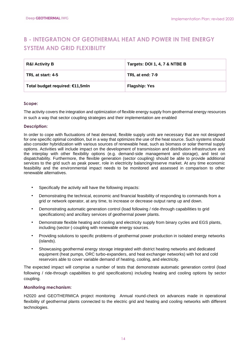## <span id="page-13-0"></span>**B - INTEGRATION OF GEOTHERMAL HEAT AND POWER IN THE ENERGY SYSTEM AND GRID FLEXIBILITY**

| <b>R&amp;I Activity B</b>       | Targets: DOI 1, 4, 7 & NTBE B |
|---------------------------------|-------------------------------|
| TRL at start: 4-5               | TRL at end: 7-9               |
| Total budget required: €11,5mln | <b>Flagship: Yes</b>          |

#### **Scope:**

The activity covers the integration and optimization of flexible energy supply from geothermal energy resources in such a way that sector coupling strategies and their implementation are enabled

#### **Description:**

In order to cope with fluctuations of heat demand, flexible supply units are necessary that are not designed for one specific optimal condition, but in a way that optimizes the use of the heat source. Such systems should also consider hybridization with various sources of renewable heat, such as biomass or solar thermal supply options. Activities will include impact on the development of transmission and distribution infrastructure and the interplay with other flexibility options (e.g. demand-side management and storage), and test on dispatchability. Furthermore, the flexible generation (sector coupling) should be able to provide additional services to the grid such as peak power, role in electricity balancing/reserve market. At any time economic feasibility and the environmental impact needs to be monitored and assessed in comparison to other renewable alternatives.

- Specifically the activity will have the following impacts:
- Demonstrating the technical, economic and financial feasibility of responding to commands from a grid or network operator, at any time, to increase or decrease output ramp up and down.
- Demonstrating automatic generation control (load following / ride-through capabilities to grid specifications) and ancillary services of geothermal power plants.
- Demonstrate flexible heating and cooling and electricity supply from binary cycles and EGS plants, including (sector-) coupling with renewable energy sources.
- Providing solutions to specific problems of geothermal power production in isolated energy networks (islands).
- Showcasing geothermal energy storage integrated with district heating networks and dedicated equipment (heat pumps, ORC turbo-expanders, and heat exchanger networks) with hot and cold reservoirs able to cover variable demand of heating, cooling, and electricity.

The expected impact will comprise a number of tests that demonstrate automatic generation control (load following / ride-through capabilities to grid specifications) including heating and cooling options by sector coupling.

## **Monitoring mechanism:**

H2020 and GEOTHERMICA project monitoring Annual round-check on advances made in operational flexibility of geothermal plants connected to the electric grid and heating and cooling networks with different technologies.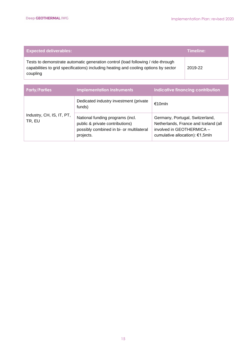| <b>Expected deliverables:</b>                                                                                                                                                        | Timeline: |
|--------------------------------------------------------------------------------------------------------------------------------------------------------------------------------------|-----------|
| Tests to demonstrate automatic generation control (load following / ride-through<br>capabilities to grid specifications) including heating and cooling options by sector<br>coupling | 2019-22   |

| <b>Party/Parties</b>                | <b>Implementation Instruments</b>                                                                                            | Indicative financing contribution                                                                                                       |
|-------------------------------------|------------------------------------------------------------------------------------------------------------------------------|-----------------------------------------------------------------------------------------------------------------------------------------|
|                                     | Dedicated industry investment (private<br>funds)                                                                             | €10mln                                                                                                                                  |
| Industry, CH, IS, IT, PT,<br>TR, EU | National funding programs (incl.<br>public & private contributions)<br>possibly combined in bi- or multilateral<br>projects. | Germany, Portugal, Switzerland,<br>Netherlands, France and Iceland (all<br>involved in GEOTHERMICA -<br>cumulative allocation): €1,5mln |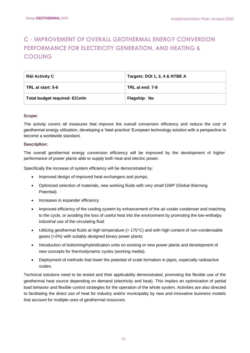## <span id="page-15-0"></span>**C - IMPROVEMENT OF OVERALL GEOTHERMAL ENERGY CONVERSION PERFORMANCE FOR ELECTRICITY GENERATION, AND HEATING & COOLING**

| <b>R&amp;I Activity C</b>     | Targets: DOI 1, 3, 4 & NTBE A |
|-------------------------------|-------------------------------|
| TRL at start: 5-6             | TRL at end: 7-8               |
| Total budget required: €21mln | Flagship: No                  |

#### **Scope:**

The activity covers all measures that improve the overall conversion efficiency and reduce the cost of geothermal energy utilization, developing a 'best-practice' European technology solution with a perspective to become a worldwide standard.

#### **Description:**

The overall geothermal energy conversion efficiency will be improved by the development of higher performance of power plants able to supply both heat and electric power.

Specifically the increase of system efficiency will be demonstrated by:

- Improved design of improved heat exchangers and pumps,
- Optimized selection of materials, new working fluids with very small GWP (Global Warming Potential)
- Increases in expander efficiency
- Improved efficiency of the cooling system by enhancement of the air-cooler condenser and matching to the cycle, or avoiding the loss of useful heat into the environment by promoting the low-enthalpy industrial use of the circulating fluid
- Utilizing geothermal fluids at high temperature (> 175°C) and with high content of non-condensable gases (>2%) with suitably designed binary power plants
- Introduction of bottoming/hybridization units on existing or new power plants and development of new concepts for thermodynamic cycles (working media).
- Deployment of methods that lower the potential of scale formation in pipes, especially radioactive scales.

Technical solutions need to be tested and their applicability demonstrated, promoting the flexible use of the geothermal heat source depending on demand (electricity and heat). This implies an optimization of partial load behavior and flexible control strategies for the operation of the whole system. Activities are also directed to facilitating the direct use of heat for industry and/or municipality by new and innovative business models that account for multiple uses of geothermal resources.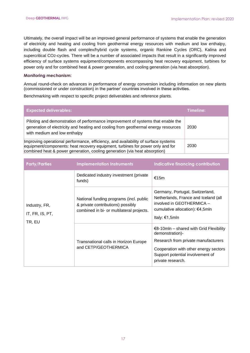Ultimately, the overall impact will be an improved general performance of systems that enable the generation of electricity and heating and cooling from geothermal energy resources with medium and low enthalpy, including double flash and complex/hybrid cycle systems, organic Rankine Cycles (ORC), Kalina and supercritical CO2-cycles. There will be a number of associated impacts that result in a significantly improved efficiency of surface systems equipment/components encompassing heat recovery equipment, turbines for power only and for combined heat & power generation, and cooling generation (via heat absorption).

#### **Monitoring mechanism:**

Annual round-check on advances in performance of energy conversion including information on new plants (commissioned or under construction) in the partner' countries involved in these activities.

Benchmarking with respect to specific project deliverables and reference plants.

| <b>Expected deliverables:</b>                                                                                                                                                                                                                      | Timeline: |
|----------------------------------------------------------------------------------------------------------------------------------------------------------------------------------------------------------------------------------------------------|-----------|
| Piloting and demonstration of performance improvement of systems that enable the<br>generation of electricity and heating and cooling from geothermal energy resources<br>with medium and low enthalpy                                             | 2030      |
| Improving operational performance, efficiency, and availability of surface systems<br>equipment/components: heat recovery equipment, turbines for power only and for<br>combined heat & power generation, cooling generation (via heat absorption) | 2030      |

| <b>Party/Parties</b>                       | <b>Implementation Instruments</b>                                                                                         | Indicative financing contribution                                                                                                                                                                             |
|--------------------------------------------|---------------------------------------------------------------------------------------------------------------------------|---------------------------------------------------------------------------------------------------------------------------------------------------------------------------------------------------------------|
| Industry, FR,<br>IT, FR, IS, PT,<br>TR, EU | Dedicated industry investment (private<br>funds)                                                                          | €15m                                                                                                                                                                                                          |
|                                            | National funding programs (incl. public<br>& private contributions) possibly<br>combined in bi- or multilateral projects. | Germany, Portugal, Switzerland,<br>Netherlands, France and Iceland (all<br>involved in GEOTHERMICA -<br>cumulative allocation): €4,5mln<br>Italy: €1,5mln                                                     |
|                                            | Transnational calls in Horizon Europe<br>and CETP/GEOTHERMICA                                                             | $\epsilon$ 8-10mln – shared with Grid Flexibility<br>demonstration)-<br>Research from private manufacturers<br>Cooperation with other energy sectors<br>Support potential involvement of<br>private research. |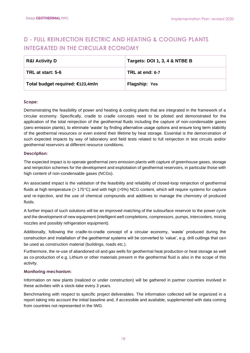## <span id="page-17-0"></span>**D - FULL REINJECTION ELECTRIC AND HEATING & COOLING PLANTS INTEGRATED IN THE CIRCULAR ECONOMY**

| <b>R&amp;I Activity D</b>        | Targets: DOI 1, 3, 4 & NTBE B |
|----------------------------------|-------------------------------|
| TRL at start: 5-6                | TRL at end: 6-7               |
| Total budget required: €123,4mln | Flagship: Yes                 |

## **Scope:**

Demonstrating the feasibility of power and heating & cooling plants that are integrated in the framework of a circular economy. Specifically, cradle to cradle concepts need to be piloted and demonstrated for the application of the total reinjection of the geothermal fluids including the capture of non-condensable gases (zero emission plants), to eliminate 'waste' by finding alternative usage options and ensure long term stability of the geothermal resources or even extend their lifetime by heat storage. Essential is the demonstration of such expected impacts by way of laboratory and field tests related to full reinjection in test circuits and/or geothermal reservoirs at different resource conditions.

## **Description:**

The expected impact is to operate geothermal zero emission plants with capture of greenhouse gases, storage and reinjection schemes for the development and exploitation of geothermal reservoirs, in particular those with high content of non-condensable gases (NCGs).

An associated impact is the validation of the feasibility and reliability of closed-loop reinjection of geothermal fluids at high temperature (> 175°C) and with high (>5%) NCG content, which will require systems for capture and re-injection, and the use of chemical compounds and additives to manage the chemistry of produced fluids.

A further impact of such solutions will be an improved matching of the subsurface reservoir to the power cycle and the development of new equipment (intelligent well completions, compressors, pumps, intercoolers, mixing nozzles and possibly refrigeration equipment).

Additionally, following the cradle-to-cradle concept of a circular economy, 'waste' produced during the construction and installation of the geothermal systems will be converted to 'value', e.g. drill cuttings that can be used as construction material (buildings, roads etc.).

Furthermore, the re-use of abandoned oil and gas wells for geothermal heat production or heat storage as well as co-production of e.g. Lithium or other materials present in the geothermal fluid is also in the scope of this activity.

## **Monitoring mechanism:**

Information on new plants (realized or under construction) will be gathered in partner countries involved in these activities with a stock-take every 3 years.

Benchmarking with respect to specific project deliverables. The information collected will be organized in a report taking into account the initial baseline and, if accessible and available, supplemented with data coming from countries not represented in the IWG.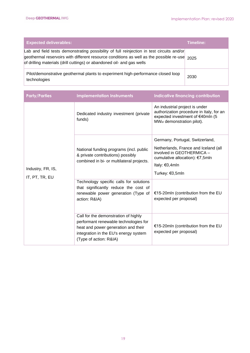| <b>Expected deliverables:</b>                                                                                                                                                                                                                                            | Timeline: |
|--------------------------------------------------------------------------------------------------------------------------------------------------------------------------------------------------------------------------------------------------------------------------|-----------|
| Lab and field tests demonstrating possibility of full reinjection in test circuits and/or<br>geothermal reservoirs with different resource conditions as well as the possible re-use $_{2025}$<br>of drilling materials (drill cuttings) or abandoned oil- and gas wells |           |
| Pilot/demonstrative geothermal plants to experiment high-performance closed loop<br>technologies                                                                                                                                                                         | 2030      |

| <b>Party/Parties</b>                | <b>Implementation Instruments</b>                                                                                                                                                       | <b>Indicative financing contribution</b>                                                                                                                                        |
|-------------------------------------|-----------------------------------------------------------------------------------------------------------------------------------------------------------------------------------------|---------------------------------------------------------------------------------------------------------------------------------------------------------------------------------|
| Industry, FR, IS,<br>IT, PT, TR, EU | Dedicated industry investment (private<br>funds)                                                                                                                                        | An industrial project is under<br>authorization procedure in Italy, for an<br>expected investment of €40mln (5<br>MW <sub>el</sub> demonstration pilot).                        |
|                                     | National funding programs (incl. public<br>& private contributions) possibly<br>combined in bi- or multilateral projects.                                                               | Germany, Portugal, Switzerland,<br>Netherlands, France and Iceland (all<br>involved in GEOTHERMICA -<br>cumulative allocation): €7,5mln<br>Italy: $€0,4$ mln<br>Turkey: €0,5mln |
|                                     | Technology specific calls for solutions<br>that significantly reduce the cost of<br>renewable power generation (Type of<br>action: R&IA)                                                | €15-20mln (contribution from the EU<br>expected per proposal)                                                                                                                   |
|                                     | Call for the demonstration of highly<br>performant renewable technologies for<br>heat and power generation and their<br>integration in the EU's energy system<br>(Type of action: R&IA) | €15-20mln (contribution from the EU<br>expected per proposal)                                                                                                                   |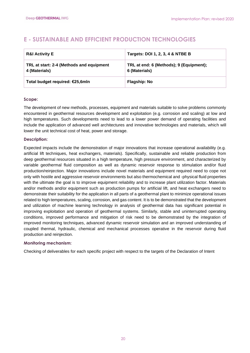## <span id="page-19-0"></span>**E - SUSTAINABLE AND EFFICIENT PRODUCTION TECHNOLOGIES**

| <b>R&amp;I Activity E</b>                                 | Targets: DOI 1, 2, 3, 4 & NTBE B                         |
|-----------------------------------------------------------|----------------------------------------------------------|
| TRL at start: 2-4 (Methods and equipment<br>4 (Materials) | TRL at end: 6 (Methods); 9 (Equipment);<br>6 (Materials) |
| Total budget required: €25,6mln                           | <b>Flagship: No</b>                                      |

## **Scope:**

The development of new methods, processes, equipment and materials suitable to solve problems commonly encountered in geothermal resources development and exploitation (e.g. corrosion and scaling) at low and high temperatures. Such developments need to lead to a lower power demand of operating facilities and include the application of advanced well architectures and innovative technologies and materials, which will lower the unit technical cost of heat, power and storage.

## **Description:**

Expected impacts include the demonstration of major innovations that increase operational availability (e.g. artificial lift techniques, heat exchangers, materials). Specifically, sustainable and reliable production from deep geothermal resources situated in a high temperature, high pressure environment, and characterized by variable geothermal fluid composition as well as dynamic reservoir response to stimulation and/or fluid production/reinjection. Major innovations include novel materials and equipment required need to cope not only with hostile and aggressive reservoir environments but also thermochemical and -physical fluid properties with the ultimate the goal is to improve equipment reliability and to increase plant utilization factor. Materials and/or methods and/or equipment such as production pumps for artificial lift, and heat exchangers need to demonstrate their suitability for the application in all parts of a geothermal plant to minimize operational issues related to high temperatures, scaling, corrosion, and gas content. It is to be demonstrated that the development and utilization of machine learning technology in analysis of geothermal data has significant potential in improving exploitation and operation of geothermal systems. Similarly, stable and uninterrupted operating conditions, improved performance and mitigation of risk need to be demonstrated by the integration of improved monitoring techniques, advanced dynamic reservoir simulation and an improved understanding of coupled thermal, hydraulic, chemical and mechanical processes operative in the reservoir during fluid production and reinjection.

## **Monitoring mechanism:**

Checking of deliverables for each specific project with respect to the targets of the Declaration of Intent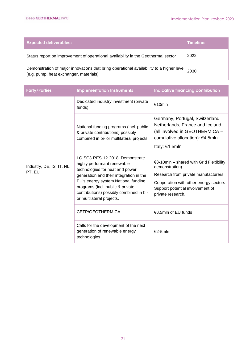| <b>Expected deliverables:</b>                                                                                                      | Timeline: |
|------------------------------------------------------------------------------------------------------------------------------------|-----------|
| Status report on improvement of operational availability in the Geothermal sector                                                  | 2022      |
| Demonstration of major innovations that bring operational availability to a higher level<br>(e.g. pump, heat exchanger, materials) | 2030      |

| <b>Party/Parties</b>                | <b>Implementation Instruments</b>                                                                                                                                                                                                                                                               | <b>Indicative financing contribution</b>                                                                                                                                                               |
|-------------------------------------|-------------------------------------------------------------------------------------------------------------------------------------------------------------------------------------------------------------------------------------------------------------------------------------------------|--------------------------------------------------------------------------------------------------------------------------------------------------------------------------------------------------------|
| Industry, DE, IS, IT, NL,<br>PT, EU | Dedicated industry investment (private<br>funds)                                                                                                                                                                                                                                                | €10mln                                                                                                                                                                                                 |
|                                     | National funding programs (incl. public<br>& private contributions) possibly<br>combined in bi- or multilateral projects.                                                                                                                                                                       | Germany, Portugal, Switzerland,<br>Netherlands, France and Iceland<br>(all involved in GEOTHERMICA -<br>cumulative allocation): €4,5mln<br>Italy: $€1,5mln$                                            |
|                                     | LC-SC3-RES-12-2018: Demonstrate<br>highly performant renewable<br>technologies for heat and power<br>generation and their integration in the<br>EU's energy system National funding<br>programs (incl. public & private<br>contributions) possibly combined in bi-<br>or multilateral projects. | $€8-10$ mln - shared with Grid Flexibility<br>demonstration)-<br>Research from private manufacturers<br>Cooperation with other energy sectors<br>Support potential involvement of<br>private research. |
|                                     | CETP/GEOTHERMICA                                                                                                                                                                                                                                                                                | €8,5mln of EU funds                                                                                                                                                                                    |
|                                     | Calls for the development of the next<br>generation of renewable energy<br>technologies                                                                                                                                                                                                         | $€2-5mln$                                                                                                                                                                                              |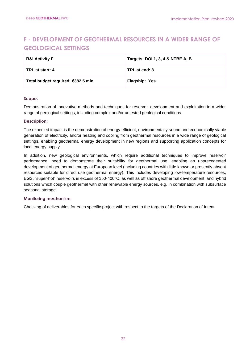## <span id="page-21-0"></span>**F - DEVELOPMENT OF GEOTHERMAL RESOURCES IN A WIDER RANGE OF GEOLOGICAL SETTINGS**

| <b>R&amp;I Activity F</b>         | Targets: DOI 1, 3, 4 & NTBE A, B |
|-----------------------------------|----------------------------------|
| TRL at start: 4                   | TRL at end: 8                    |
| Total budget required: €382,5 mln | Flagship: Yes                    |

## **Scope:**

Demonstration of innovative methods and techniques for reservoir development and exploitation in a wider range of geological settings, including complex and/or untested geological conditions.

## **Description:**

The expected impact is the demonstration of energy efficient, environmentally sound and economically viable generation of electricity, and/or heating and cooling from geothermal resources in a wide range of geological settings, enabling geothermal energy development in new regions and supporting application concepts for local energy supply.

In addition, new geological environments, which require additional techniques to improve reservoir performance, need to demonstrate their suitability for geothermal use, enabling an unprecedented development of geothermal energy at European level (including countries with little known or presently absent resources suitable for direct use geothermal energy). This includes developing low-temperature resources, EGS, "super-hot" reservoirs in excess of 350-400°C, as well as off shore geothermal development, and hybrid solutions which couple geothermal with other renewable energy sources, e.g. in combination with subsurface seasonal storage.

## **Monitoring mechanism:**

Checking of deliverables for each specific project with respect to the targets of the Declaration of Intent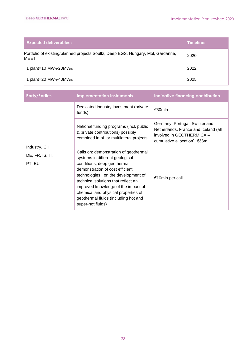| <b>Expected deliverables:</b>                                                                   | Timeline: |
|-------------------------------------------------------------------------------------------------|-----------|
| Portfolio of existing/planned projects Soultz, Deep EGS, Hungary, Mol, Gardanne,<br><b>MEET</b> | 2020      |
| 1 plant=10 $MW_{el}$ -20 $MW_{th}$                                                              | 2022      |
| 1 plant=20 $MW_{el}$ -40 $MW_{th}$                                                              | 2025      |

| <b>Party/Parties</b>                       | <b>Implementation Instruments</b>                                                                                                                                                                                                                                                                                                                                   | Indicative financing contribution                                                                                                    |
|--------------------------------------------|---------------------------------------------------------------------------------------------------------------------------------------------------------------------------------------------------------------------------------------------------------------------------------------------------------------------------------------------------------------------|--------------------------------------------------------------------------------------------------------------------------------------|
|                                            | Dedicated industry investment (private<br>funds)                                                                                                                                                                                                                                                                                                                    | €30mln                                                                                                                               |
|                                            | National funding programs (incl. public<br>& private contributions) possibly<br>combined in bi- or multilateral projects.                                                                                                                                                                                                                                           | Germany, Portugal, Switzerland,<br>Netherlands, France and Iceland (all<br>involved in GEOTHERMICA -<br>cumulative allocation): €33m |
| Industry, CH,<br>DE, FR, IS, IT,<br>PT, EU | Calls on: demonstration of geothermal<br>systems in different geological<br>conditions; deep geothermal<br>demonstration of cost efficient<br>technologies; on the development of<br>technical solutions that reflect an<br>improved knowledge of the impact of<br>chemical and physical properties of<br>geothermal fluids (including hot and<br>super-hot fluids) | €10mln per call                                                                                                                      |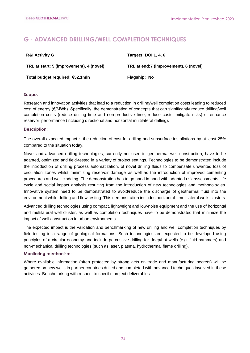## <span id="page-23-0"></span>**G - ADVANCED DRILLING/WELL COMPLETION TECHNIQUES**

| <b>R&amp;I Activity G</b>                | <b>Targets: DOI 1, 4, 6</b>           |
|------------------------------------------|---------------------------------------|
| TRL at start: 5 (improvement), 4 (novel) | TRL at end:7 (improvement), 6 (novel) |
| Total budget required: €52,1mln          | Flagship: No                          |

## **Scope:**

Research and innovation activities that lead to a reduction in drilling/well completion costs leading to reduced cost of energy (€/MWh). Specifically, the demonstration of concepts that can significantly reduce drilling/well completion costs (reduce drilling time and non-productive time, reduce costs, mitigate risks) or enhance reservoir performance (including directional and horizontal multilateral drilling).

## **Description:**

The overall expected impact is the reduction of cost for drilling and subsurface installations by at least 25% compared to the situation today.

Novel and advanced drilling technologies, currently not used in geothermal well construction, have to be adapted, optimized and field-tested in a variety of project settings. Technologies to be demonstrated include the introduction of drilling process automatization, of novel drilling fluids to compensate unwanted loss of circulation zones whilst minimizing reservoir damage as well as the introduction of improved cementing procedures and well cladding. The demonstration has to go hand in hand with adapted risk assessments, life cycle and social impact analysis resulting from the introduction of new technologies and methodologies. Innovative system need to be demonstrated to avoid/reduce the discharge of geothermal fluid into the environment while drilling and flow testing. This demonstration includes horizontal - multilateral wells clusters.

Advanced drilling technologies using compact, lightweight and low-noise equipment and the use of horizontal and multilateral well cluster, as well as completion techniques have to be demonstrated that minimize the impact of well construction in urban environments.

The expected impact is the validation and benchmarking of new drilling and well completion techniques by field-testing in a range of geological formations. Such technologies are expected to be developed using principles of a circular economy and include percussive drilling for deep/hot wells (e.g. fluid hammers) and non-mechanical drilling technologies (such as laser, plasma, hydrothermal flame drilling).

## **Monitoring mechanism:**

Where available information (often protected by strong acts on trade and manufacturing secrets) will be gathered on new wells in partner countries drilled and completed with advanced techniques involved in these activities. Benchmarking with respect to specific project deliverables.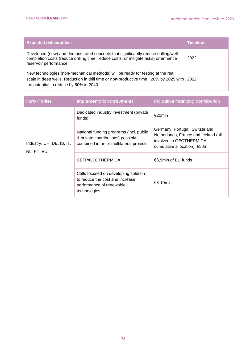| <b>Expected deliverables:</b>                                                                                                                                                                                           | <b>Timeline:</b> |
|-------------------------------------------------------------------------------------------------------------------------------------------------------------------------------------------------------------------------|------------------|
| Developed (new) and demonstrated concepts that significantly reduce drilling/well<br>completion costs (reduce drilling time, reduce costs, or mitigate risks) or enhance<br>reservoir performance                       | 2022             |
| New technologies (non-mechanical methods) will be ready for testing at the real<br>scale in deep wells. Reduction in drill time or non-productive time ~20% by 2025 with 2022<br>the potential to reduce by 50% in 2040 |                  |

| <b>Party/Parties</b>                    | <b>Implementation Instruments</b>                                                                                         | Indicative financing contribution                                                                                                    |
|-----------------------------------------|---------------------------------------------------------------------------------------------------------------------------|--------------------------------------------------------------------------------------------------------------------------------------|
| Industry, CH, DE, IS, IT,<br>NL, PT, EU | Dedicated industry investment (private<br>funds)                                                                          | €20mln                                                                                                                               |
|                                         | National funding programs (incl. public<br>& private contributions) possibly<br>combined in bi- or multilateral projects. | Germany, Portugal, Switzerland,<br>Netherlands, France and Iceland (all<br>involved in GEOTHERMICA -<br>cumulative allocation): €30m |
|                                         | CETP/GEOTHERMICA                                                                                                          | €8,5mln of EU funds                                                                                                                  |
|                                         | Calls focused on developing solution<br>to reduce the cost and increase<br>performance of renewable<br>technologies       | $€8-10$ mln                                                                                                                          |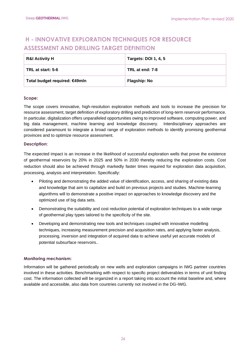## <span id="page-25-0"></span>**H - INNOVATIVE EXPLORATION TECHNIQUES FOR RESOURCE ASSESSMENT AND DRILLING TARGET DEFINITION**

| <b>R&amp;I Activity H</b>     | <b>Targets: DOI 1, 4, 5</b> |
|-------------------------------|-----------------------------|
| TRL at start: 5-6             | TRL at end: 7-8             |
| Total budget required: €49mln | <b>Flagship: No</b>         |

## **Scope:**

The scope covers innovative, high-resolution exploration methods and tools to increase the precision for resource assessment, target definition of exploratory drilling and prediction of long-term reservoir performance. In particular, digitalization offers unparalleled opportunities owing to improved software, computing power, and big data management, machine learning and knowledge discovery. Interdisciplinary approaches are considered paramount to integrate a broad range of exploration methods to identify promising geothermal provinces and to optimize resource assessment.

#### **Description:**

The expected impact is an increase in the likelihood of successful exploration wells that prove the existence of geothermal reservoirs by 20% in 2025 and 50% in 2030 thereby reducing the exploration costs. Cost reduction should also be achieved through markedly faster times required for exploration data acquisition, processing, analysis and interpretation. Specifically:

- Piloting and demonstrating the added value of identification, access, and sharing of existing data and knowledge that aim to capitalize and build on previous projects and studies. Machine-learning algorithms will to demonstrate a positive impact on approaches to knowledge discovery and the optimized use of big data sets.
- Demonstrating the suitability and cost reduction potential of exploration techniques to a wide range of geothermal play types tailored to the specificity of the site.
- Developing and demonstrating new tools and techniques coupled with innovative modelling techniques, increasing measurement precision and acquisition rates, and applying faster analysis, processing, inversion and integration of acquired data to achieve useful yet accurate models of potential subsurface reservoirs..

## **Monitoring mechanism:**

Information will be gathered periodically on new wells and exploration campaigns in IWG partner countries involved in these activities. Benchmarking with respect to specific project deliverables in terms of unit finding cost. The information collected will be organized in a report taking into account the initial baseline and, where available and accessible, also data from countries currently not involved in the DG-IWG.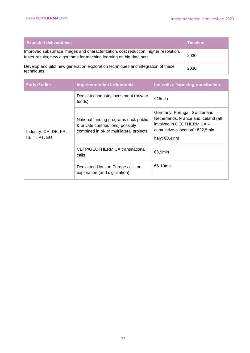| <b>Expected deliverables:</b>                                                                                                                               | Timeline: |
|-------------------------------------------------------------------------------------------------------------------------------------------------------------|-----------|
| Improved subsurface images and characterization, cost reduction, higher resolution,<br>faster results, new algorithms for machine learning on big data sets | 2030      |
| Develop and pilot new generation exploration techniques and integration of these<br>techniques                                                              | 2030      |

| <b>Party/Parties</b>                    | <b>Implementation Instruments</b>                                                                                         | Indicative financing contribution                                                                                                                             |
|-----------------------------------------|---------------------------------------------------------------------------------------------------------------------------|---------------------------------------------------------------------------------------------------------------------------------------------------------------|
| Industry, CH, DE, FR,<br>IS, IT, PT, EU | Dedicated industry investment (private<br>funds)                                                                          | €15mln                                                                                                                                                        |
|                                         | National funding programs (incl. public<br>& private contributions) possibly<br>combined in bi- or multilateral projects. | Germany, Portugal, Switzerland,<br>Netherlands, France and Iceland (all<br>involved in GEOTHERMICA -<br>cumulative allocation): €22,5mln<br>Italy: $€0,4$ Inm |
|                                         | CETP/GEOTHERMICA transnational<br>calls                                                                                   | €8,5mln                                                                                                                                                       |
|                                         | Dedicated Horizon Europe calls on<br>exploration (and digitization).                                                      | €8-10mln                                                                                                                                                      |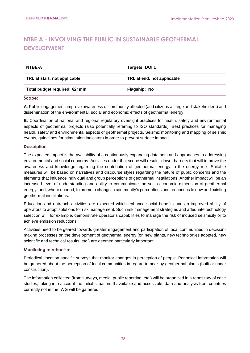## <span id="page-27-0"></span>**NTBE A - INVOLVING THE PUBLIC IN SUSTAINABLE GEOTHERMAL DEVELOPMENT**

| NTBE-A                        | Targets: DOI 1             |
|-------------------------------|----------------------------|
| TRL at start: not applicable  | TRL at end: not applicable |
| Total budget required: €21mln | Flagship: No               |

#### **Scope:**

**A**: Public engagement: improve awareness of community affected (and citizens at large and stakeholders) and dissemination of the environmental, social and economic effects of geothermal energy.

**B**: Coordination of national and regional regulatory oversight practices for health, safety and environmental aspects of geothermal projects (also potentially referring to ISO standards). Best practices for managing health, safety and environmental aspects of geothermal projects. Seismic monitoring and mapping of seismic events, guidelines for stimulation indicators in order to prevent surface impacts.

## **Description:**

The expected impact is the availability of a continuously expanding data sets and approaches to addressing environmental and social concerns. Activities under that scope will result in lower barriers that will improve the awareness and knowledge regarding the contribution of geothermal energy to the energy mix. Suitable measures will be based on narratives and discourse styles regarding the nature of public concerns and the elements that influence individual and group perceptions of geothermal installations. Another impact will be an increased level of understanding and ability to communicate the socio-economic dimension of geothermal energy, and, where needed, to promote change in community's perceptions and responses to new and existing geothermal installations.

Education and outreach activities are expected which enhance social benefits and an improved ability of operators to adopt solutions for risk management. Such risk management strategies and adequate technology selection will, for example, demonstrate operator's capabilities to manage the risk of induced seismicity or to achieve emission reductions.

Activities need to be geared towards greater engagement and participation of local communities in decisionmaking processes on the development of geothermal energy (on new plants, new technologies adopted, new scientific and technical results, etc.) are deemed particularly important.

## **Monitoring mechanism:**

Periodical, location-specific surveys that monitor changes in perception of people. Periodical information will be gathered about the perception of local communities in regard to near-by geothermal plants (built or under construction).

The information collected (from surveys, media, public reporting, etc.) will be organized in a repository of case studies, taking into account the initial situation. If available and accessible, data and analysis from countries currently not in the IWG will be gathered.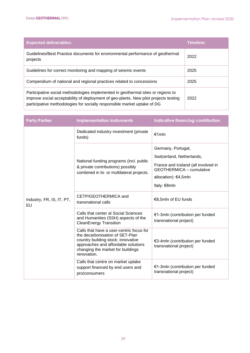| <b>Expected deliverables:</b>                                                                                                                                                                                                                        | Timeline: |
|------------------------------------------------------------------------------------------------------------------------------------------------------------------------------------------------------------------------------------------------------|-----------|
| Guidelines/Best Practice documents for environmental performance of geothermal<br>projects                                                                                                                                                           | 2022      |
| Guidelines for correct monitoring and mapping of seismic events                                                                                                                                                                                      | 2025      |
| Compendium of national and regional practices related to concessions                                                                                                                                                                                 | 2025      |
| Participative social methodologies implemented in geothermal sites or regions to<br>improve social acceptability of deployment of geo-plants. New pilot projects testing<br>participative methodologies for socially responsible market uptake of DG | 2022      |

| <b>Party/Parties</b>            | <b>Implementation Instruments</b>                                                                                                                                                                            | <b>Indicative financing contribution</b>                                                                                                                          |
|---------------------------------|--------------------------------------------------------------------------------------------------------------------------------------------------------------------------------------------------------------|-------------------------------------------------------------------------------------------------------------------------------------------------------------------|
|                                 | Dedicated industry investment (private<br>funds)                                                                                                                                                             | $f$ 1mln                                                                                                                                                          |
|                                 | National funding programs (incl. public<br>& private contributions) possibly<br>combined in bi- or multilateral projects.                                                                                    | Germany, Portugal,<br>Switzerland, Netherlands,<br>France and Iceland (all involved in<br><b>GEOTHERMICA - cumulative</b><br>allocation): €4,5mln<br>Italy: €8mln |
| Industry, FR, IS, IT, PT,<br>EU | CETP/GEOTHERMICA and<br>transnational calls                                                                                                                                                                  | €8,5mln of EU funds                                                                                                                                               |
|                                 | Calls that center al Social Sciences<br>and Humanities (SSH) aspects of the<br><b>CleanEnergy Transition</b>                                                                                                 | €1-3mln (contribution per funded<br>transnational project)                                                                                                        |
|                                 | Calls that have a user-centric focus for<br>the decarbonisation of SET-Plan<br>country building stock: innovative<br>approaches and affordable solutions<br>changing the market for buildings<br>renovation. | €3-4mln (contribution per funded<br>transnational project)                                                                                                        |
|                                 | Calls that centre on market uptake<br>support financed by end users and<br>pro/consumers                                                                                                                     | €1-3mln (contribution per funded<br>transnational project)                                                                                                        |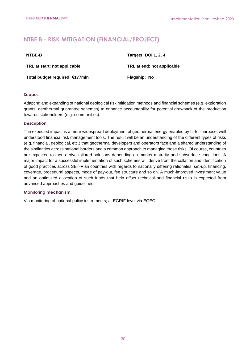## <span id="page-29-0"></span>**NTBE B - RISK MITIGATION (FINANCIAL/PROJECT)**

| NTBE-B                         | <b>Targets: DOI 1, 2, 4</b> |
|--------------------------------|-----------------------------|
| TRL at start: not applicable   | TRL at end: not applicable  |
| Total budget required: €177mln | Flagship: No                |

## **Scope:**

Adapting and expanding of national geological risk mitigation methods and financial schemes (e.g. exploration grants, geothermal guarantee schemes) to enhance accountability for potential drawback of the production towards stakeholders (e.g. communities).

## **Description:**

The expected impact is a more widespread deployment of geothermal energy enabled by fit-for-purpose, well understood financial risk management tools. The result will be an understanding of the different types of risks (e.g. financial, geological, etc.) that geothermal developers and operators face and a shared understanding of the similarities across national borders and a common approach to managing those risks. Of course, countries are expected to then derive tailored solutions depending on market maturity and subsurface conditions. A major impact for a successful implementation of such schemes will derive from the collation and identification of good practices across SET-Plan countries with regards to nationally differing rationales, set-up, financing, coverage, procedural aspects, mode of pay-out, fee structure and so on. A much-improved investment value and an optimized allocation of such funds that help offset technical and financial risks is expected from advanced approaches and guidelines.

## **Monitoring mechanism:**

Via monitoring of national policy instruments; at EGRIF level via EGEC.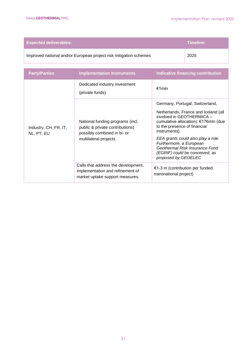| <b>Expected deliverables:</b>                                     | Timeline: |
|-------------------------------------------------------------------|-----------|
| Improved national and/or European project risk mitigation schemes | 2025      |

| <b>Party/Parties</b>                | <b>Implementation Instruments</b>                                                                                            | <b>Indicative financing contribution</b>                                                                                                                                                                                                                                                                                                                 |
|-------------------------------------|------------------------------------------------------------------------------------------------------------------------------|----------------------------------------------------------------------------------------------------------------------------------------------------------------------------------------------------------------------------------------------------------------------------------------------------------------------------------------------------------|
|                                     | Dedicated industry investment<br>(private funds)                                                                             | €1mln                                                                                                                                                                                                                                                                                                                                                    |
| Industry, CH, FR, IT,<br>NL, PT, EU | National funding programs (incl.<br>public & private contributions)<br>possibly combined in bi- or<br>multilateral projects. | Germany, Portugal, Switzerland,<br>Netherlands, France and Iceland (all<br>involved in GEOTHERMICA -<br>cumulative allocation): €176mln (due<br>to the presence of financial<br>instruments)<br>EEA grants could also play a role.<br>Furthermore, a European<br>Geothermal Risk Insurance Fund<br>(EGRIF) could be conceived, as<br>proposed by GEOELEC |
|                                     | Calls that address the development,<br>implementation and refinement of<br>market uptake support measures.                   | $\epsilon$ 1-3 m (contribution per funded<br>transnational project)                                                                                                                                                                                                                                                                                      |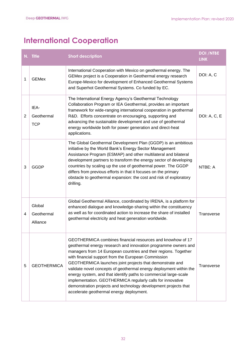# <span id="page-31-0"></span>**International Cooperation**

|                | N. Title                         | <b>Short description</b>                                                                                                                                                                                                                                                                                                                                                                                                                                                                                                                                                                                                                  | <b>DOI /NTBE</b><br><b>LINK</b> |
|----------------|----------------------------------|-------------------------------------------------------------------------------------------------------------------------------------------------------------------------------------------------------------------------------------------------------------------------------------------------------------------------------------------------------------------------------------------------------------------------------------------------------------------------------------------------------------------------------------------------------------------------------------------------------------------------------------------|---------------------------------|
| 1              | <b>GEMex</b>                     | International Cooperation with Mexico on geothermal energy. The<br>GEMex project is a Cooperation in Geothermal energy research<br>Europe-Mexico for development of Enhanced Geothermal Systems<br>and Superhot Geothermal Systems. Co funded by EC.                                                                                                                                                                                                                                                                                                                                                                                      | DOI: A, C                       |
| $\overline{2}$ | IEA-<br>Geothermal<br><b>TCP</b> | The International Energy Agency's Geothermal Technology<br>Collaboration Program or IEA Geothermal, provides an important<br>framework for wide-ranging international cooperation in geothermal<br>R&D. Efforts concentrate on encouraging, supporting and<br>advancing the sustainable development and use of geothermal<br>energy worldwide both for power generation and direct-heat<br>applications.                                                                                                                                                                                                                                  | DOI: A, C, E                    |
| 3              | <b>GGDP</b>                      | The Global Geothermal Development Plan (GGDP) is an ambitious<br>initiative by the World Bank's Energy Sector Management<br>Assistance Program (ESMAP) and other multilateral and bilateral<br>development partners to transform the energy sector of developing<br>countries by scaling up the use of geothermal power. The GGDP<br>differs from previous efforts in that it focuses on the primary<br>obstacle to geothermal expansion: the cost and risk of exploratory<br>drilling.                                                                                                                                                   | $NTRF \cdot A$                  |
| 4              | Global<br>Geothermal<br>Alliance | Global Geothermal Alliance, coordinated by IRENA, is a platform for<br>enhanced dialogue and knowledge-sharing within the constituency<br>as well as for coordinated action to increase the share of installed<br>geothermal electricity and heat generation worldwide.                                                                                                                                                                                                                                                                                                                                                                   | <b>Transverse</b>               |
| 5              | <b>GEOTHERMICA</b>               | GEOTHERMICA combines financial resources and knowhow of 17<br>geothermal energy research and innovation programme owners and<br>managers from 14 European countries and their regions. Together<br>with financial support from the European Commission<br>GEOTHERMICA launches joint projects that demonstrate and<br>validate novel concepts of geothermal energy deployment within the<br>energy system, and that identify paths to commercial large-scale<br>implementation. GEOTHERMICA regularly calls for innovative<br>demonstration projects and technology development projects that<br>accelerate geothermal energy deployment. | <b>Transverse</b>               |